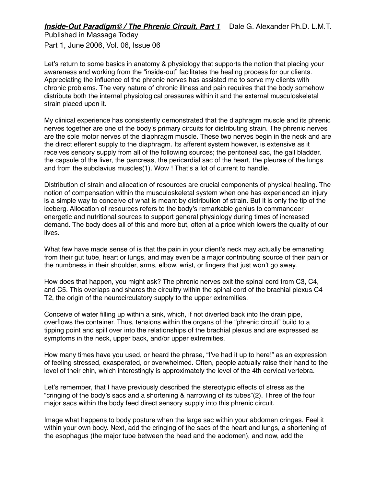Published in Massage Today Part 1, June 2006, Vol. 06, Issue 06

Let's return to some basics in anatomy & physiology that supports the notion that placing your awareness and working from the "inside-out" facilitates the healing process for our clients. Appreciating the influence of the phrenic nerves has assisted me to serve my clients with chronic problems. The very nature of chronic illness and pain requires that the body somehow distribute both the internal physiological pressures within it and the external musculoskeletal strain placed upon it.

My clinical experience has consistently demonstrated that the diaphragm muscle and its phrenic nerves together are one of the body's primary circuits for distributing strain. The phrenic nerves are the sole motor nerves of the diaphragm muscle. These two nerves begin in the neck and are the direct efferent supply to the diaphragm. Its afferent system however, is extensive as it receives sensory supply from all of the following sources; the peritoneal sac, the gall bladder, the capsule of the liver, the pancreas, the pericardial sac of the heart, the pleurae of the lungs and from the subclavius muscles(1). Wow ! That's a lot of current to handle.

Distribution of strain and allocation of resources are crucial components of physical healing. The notion of compensation within the musculoskeletal system when one has experienced an injury is a simple way to conceive of what is meant by distribution of strain. But it is only the tip of the iceberg. Allocation of resources refers to the body's remarkable genius to commandeer energetic and nutritional sources to support general physiology during times of increased demand. The body does all of this and more but, often at a price which lowers the quality of our lives.

What few have made sense of is that the pain in your client's neck may actually be emanating from their gut tube, heart or lungs, and may even be a major contributing source of their pain or the numbness in their shoulder, arms, elbow, wrist, or fingers that just won't go away.

How does that happen, you might ask? The phrenic nerves exit the spinal cord from C3, C4, and C5. This overlaps and shares the circuitry within the spinal cord of the brachial plexus C4 – T2, the origin of the neurocirculatory supply to the upper extremities.

Conceive of water filling up within a sink, which, if not diverted back into the drain pipe, overflows the container. Thus, tensions within the organs of the "phrenic circuit" build to a tipping point and spill over into the relationships of the brachial plexus and are expressed as symptoms in the neck, upper back, and/or upper extremities.

How many times have you used, or heard the phrase, "I've had it up to here!" as an expression of feeling stressed, exasperated, or overwhelmed. Often, people actually raise their hand to the level of their chin, which interestingly is approximately the level of the 4th cervical vertebra.

Let's remember, that I have previously described the stereotypic effects of stress as the "cringing of the body's sacs and a shortening & narrowing of its tubes"(2). Three of the four major sacs within the body feed direct sensory supply into this phrenic circuit.

Image what happens to body posture when the large sac within your abdomen cringes. Feel it within your own body. Next, add the cringing of the sacs of the heart and lungs, a shortening of the esophagus (the major tube between the head and the abdomen), and now, add the